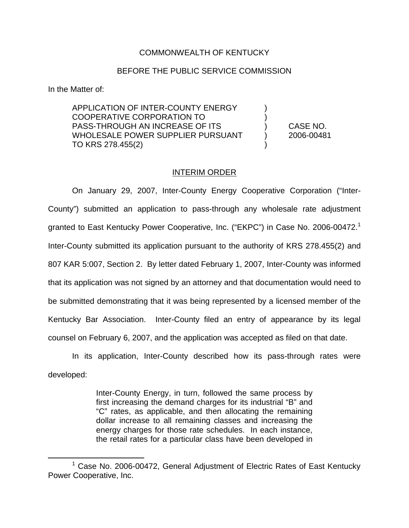## COMMONWEALTH OF KENTUCKY

## BEFORE THE PUBLIC SERVICE COMMISSION

In the Matter of:

APPLICATION OF INTER-COUNTY ENERGY ) COOPERATIVE CORPORATION TO ) PASS-THROUGH AN INCREASE OF ITS ) CASE NO. WHOLESALE POWER SUPPLIER PURSUANT (2006-00481 TO KRS 278.455(2)

## INTERIM ORDER

On January 29, 2007, Inter-County Energy Cooperative Corporation ("Inter-County") submitted an application to pass-through any wholesale rate adjustment granted to East Kentucky Power Cooperative, Inc. ("EKPC") in Case No. 2006-00472.<sup>1</sup> Inter-County submitted its application pursuant to the authority of KRS 278.455(2) and 807 KAR 5:007, Section 2. By letter dated February 1, 2007, Inter-County was informed that its application was not signed by an attorney and that documentation would need to be submitted demonstrating that it was being represented by a licensed member of the Kentucky Bar Association. Inter-County filed an entry of appearance by its legal counsel on February 6, 2007, and the application was accepted as filed on that date.

In its application, Inter-County described how its pass-through rates were developed:

> Inter-County Energy, in turn, followed the same process by first increasing the demand charges for its industrial "B" and "C" rates, as applicable, and then allocating the remaining dollar increase to all remaining classes and increasing the energy charges for those rate schedules. In each instance, the retail rates for a particular class have been developed in

 $1$  Case No. 2006-00472, General Adjustment of Electric Rates of East Kentucky Power Cooperative, Inc.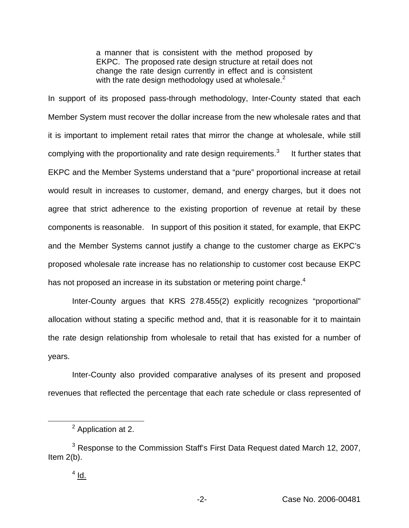a manner that is consistent with the method proposed by EKPC. The proposed rate design structure at retail does not change the rate design currently in effect and is consistent with the rate design methodology used at wholesale. $<sup>2</sup>$ </sup>

In support of its proposed pass-through methodology, Inter-County stated that each Member System must recover the dollar increase from the new wholesale rates and that it is important to implement retail rates that mirror the change at wholesale, while still complying with the proportionality and rate design requirements. $3$  It further states that EKPC and the Member Systems understand that a "pure" proportional increase at retail would result in increases to customer, demand, and energy charges, but it does not agree that strict adherence to the existing proportion of revenue at retail by these components is reasonable. In support of this position it stated, for example, that EKPC and the Member Systems cannot justify a change to the customer charge as EKPC's proposed wholesale rate increase has no relationship to customer cost because EKPC has not proposed an increase in its substation or metering point charge.<sup>4</sup>

Inter-County argues that KRS 278.455(2) explicitly recognizes "proportional" allocation without stating a specific method and, that it is reasonable for it to maintain the rate design relationship from wholesale to retail that has existed for a number of years.

Inter-County also provided comparative analyses of its present and proposed revenues that reflected the percentage that each rate schedule or class represented of

<sup>&</sup>lt;sup>2</sup> Application at 2.

<sup>&</sup>lt;sup>3</sup> Response to the Commission Staff's First Data Request dated March 12, 2007, Item 2(b).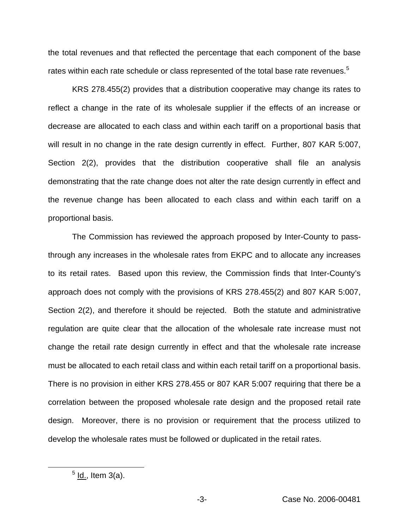the total revenues and that reflected the percentage that each component of the base rates within each rate schedule or class represented of the total base rate revenues.<sup>5</sup>

KRS 278.455(2) provides that a distribution cooperative may change its rates to reflect a change in the rate of its wholesale supplier if the effects of an increase or decrease are allocated to each class and within each tariff on a proportional basis that will result in no change in the rate design currently in effect. Further, 807 KAR 5:007, Section 2(2), provides that the distribution cooperative shall file an analysis demonstrating that the rate change does not alter the rate design currently in effect and the revenue change has been allocated to each class and within each tariff on a proportional basis.

The Commission has reviewed the approach proposed by Inter-County to passthrough any increases in the wholesale rates from EKPC and to allocate any increases to its retail rates. Based upon this review, the Commission finds that Inter-County's approach does not comply with the provisions of KRS 278.455(2) and 807 KAR 5:007, Section 2(2), and therefore it should be rejected. Both the statute and administrative regulation are quite clear that the allocation of the wholesale rate increase must not change the retail rate design currently in effect and that the wholesale rate increase must be allocated to each retail class and within each retail tariff on a proportional basis. There is no provision in either KRS 278.455 or 807 KAR 5:007 requiring that there be a correlation between the proposed wholesale rate design and the proposed retail rate design. Moreover, there is no provision or requirement that the process utilized to develop the wholesale rates must be followed or duplicated in the retail rates.

 $<sup>5</sup>$  ld., Item 3(a).</sup>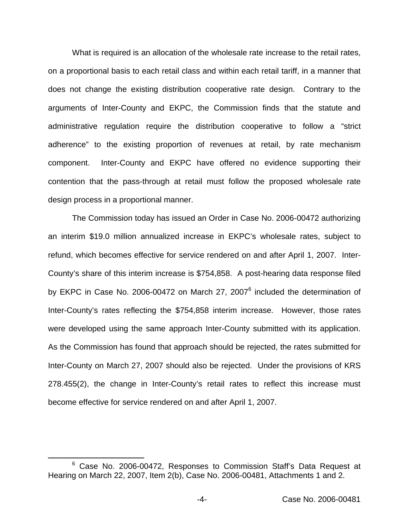What is required is an allocation of the wholesale rate increase to the retail rates, on a proportional basis to each retail class and within each retail tariff, in a manner that does not change the existing distribution cooperative rate design. Contrary to the arguments of Inter-County and EKPC, the Commission finds that the statute and administrative regulation require the distribution cooperative to follow a "strict adherence" to the existing proportion of revenues at retail, by rate mechanism component. Inter-County and EKPC have offered no evidence supporting their contention that the pass-through at retail must follow the proposed wholesale rate design process in a proportional manner.

The Commission today has issued an Order in Case No. 2006-00472 authorizing an interim \$19.0 million annualized increase in EKPC's wholesale rates, subject to refund, which becomes effective for service rendered on and after April 1, 2007. Inter-County's share of this interim increase is \$754,858. A post-hearing data response filed by EKPC in Case No. 2006-00472 on March 27, 2007<sup>6</sup> included the determination of Inter-County's rates reflecting the \$754,858 interim increase. However, those rates were developed using the same approach Inter-County submitted with its application. As the Commission has found that approach should be rejected, the rates submitted for Inter-County on March 27, 2007 should also be rejected. Under the provisions of KRS 278.455(2), the change in Inter-County's retail rates to reflect this increase must become effective for service rendered on and after April 1, 2007.

<sup>&</sup>lt;sup>6</sup> Case No. 2006-00472, Responses to Commission Staff's Data Request at Hearing on March 22, 2007, Item 2(b), Case No. 2006-00481, Attachments 1 and 2.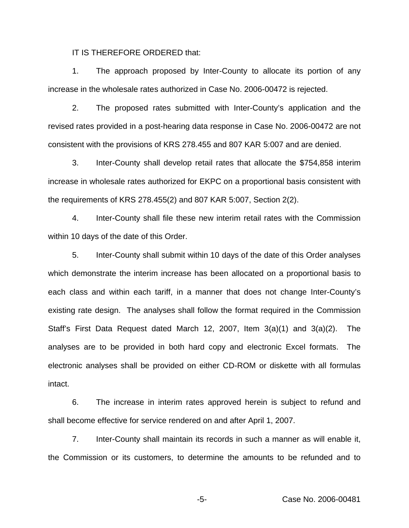IT IS THEREFORE ORDERED that:

1. The approach proposed by Inter-County to allocate its portion of any increase in the wholesale rates authorized in Case No. 2006-00472 is rejected.

2. The proposed rates submitted with Inter-County's application and the revised rates provided in a post-hearing data response in Case No. 2006-00472 are not consistent with the provisions of KRS 278.455 and 807 KAR 5:007 and are denied.

3. Inter-County shall develop retail rates that allocate the \$754,858 interim increase in wholesale rates authorized for EKPC on a proportional basis consistent with the requirements of KRS 278.455(2) and 807 KAR 5:007, Section 2(2).

4. Inter-County shall file these new interim retail rates with the Commission within 10 days of the date of this Order.

5. Inter-County shall submit within 10 days of the date of this Order analyses which demonstrate the interim increase has been allocated on a proportional basis to each class and within each tariff, in a manner that does not change Inter-County's existing rate design. The analyses shall follow the format required in the Commission Staff's First Data Request dated March 12, 2007, Item 3(a)(1) and 3(a)(2). The analyses are to be provided in both hard copy and electronic Excel formats. The electronic analyses shall be provided on either CD-ROM or diskette with all formulas intact.

6. The increase in interim rates approved herein is subject to refund and shall become effective for service rendered on and after April 1, 2007.

7. Inter-County shall maintain its records in such a manner as will enable it, the Commission or its customers, to determine the amounts to be refunded and to

-5- Case No. 2006-00481